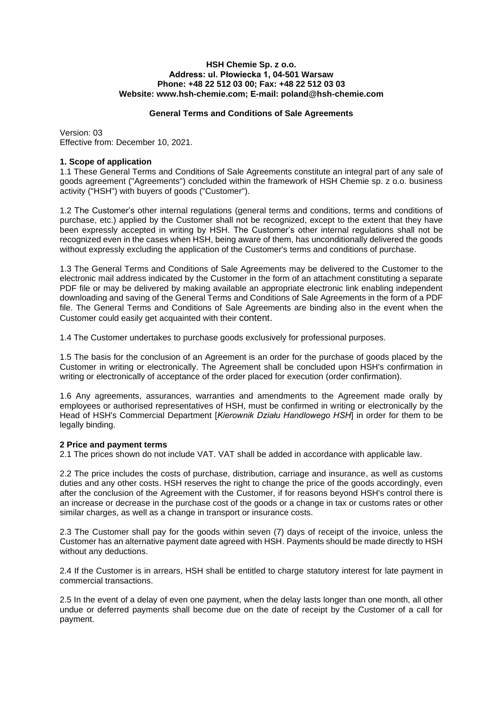#### **HSH Chemie Sp. z o.o. Address: ul. Płowiecka 1, 04-501 Warsaw Phone: +48 22 512 03 00; Fax: +48 22 512 03 03 Website: www.hsh-chemie.com; E-mail: poland@hsh-chemie.com**

# **General Terms and Conditions of Sale Agreements**

Version: 03 Effective from: December 10, 2021.

## **1. Scope of application**

1.1 These General Terms and Conditions of Sale Agreements constitute an integral part of any sale of goods agreement ("Agreements") concluded within the framework of HSH Chemie sp. z o.o. business activity ("HSH") with buyers of goods ("Customer").

1.2 The Customer's other internal regulations (general terms and conditions, terms and conditions of purchase, etc.) applied by the Customer shall not be recognized, except to the extent that they have been expressly accepted in writing by HSH. The Customer's other internal regulations shall not be recognized even in the cases when HSH, being aware of them, has unconditionally delivered the goods without expressly excluding the application of the Customer's terms and conditions of purchase.

1.3 The General Terms and Conditions of Sale Agreements may be delivered to the Customer to the electronic mail address indicated by the Customer in the form of an attachment constituting a separate PDF file or may be delivered by making available an appropriate electronic link enabling independent downloading and saving of the General Terms and Conditions of Sale Agreements in the form of a PDF file. The General Terms and Conditions of Sale Agreements are binding also in the event when the Customer could easily get acquainted with their content.

1.4 The Customer undertakes to purchase goods exclusively for professional purposes.

1.5 The basis for the conclusion of an Agreement is an order for the purchase of goods placed by the Customer in writing or electronically. The Agreement shall be concluded upon HSH's confirmation in writing or electronically of acceptance of the order placed for execution (order confirmation).

1.6 Any agreements, assurances, warranties and amendments to the Agreement made orally by employees or authorised representatives of HSH, must be confirmed in writing or electronically by the Head of HSH's Commercial Department [*Kierownik Działu Handlowego HSH*] in order for them to be legally binding.

### **2 Price and payment terms**

2.1 The prices shown do not include VAT. VAT shall be added in accordance with applicable law.

2.2 The price includes the costs of purchase, distribution, carriage and insurance, as well as customs duties and any other costs. HSH reserves the right to change the price of the goods accordingly, even after the conclusion of the Agreement with the Customer, if for reasons beyond HSH's control there is an increase or decrease in the purchase cost of the goods or a change in tax or customs rates or other similar charges, as well as a change in transport or insurance costs.

2.3 The Customer shall pay for the goods within seven (7) days of receipt of the invoice, unless the Customer has an alternative payment date agreed with HSH. Payments should be made directly to HSH without any deductions.

2.4 If the Customer is in arrears, HSH shall be entitled to charge statutory interest for late payment in commercial transactions.

2.5 In the event of a delay of even one payment, when the delay lasts longer than one month, all other undue or deferred payments shall become due on the date of receipt by the Customer of a call for payment.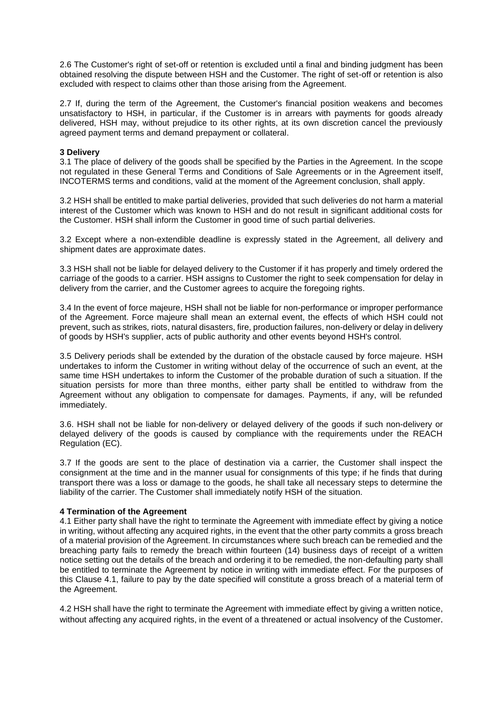2.6 The Customer's right of set-off or retention is excluded until a final and binding judgment has been obtained resolving the dispute between HSH and the Customer. The right of set-off or retention is also excluded with respect to claims other than those arising from the Agreement.

2.7 If, during the term of the Agreement, the Customer's financial position weakens and becomes unsatisfactory to HSH, in particular, if the Customer is in arrears with payments for goods already delivered, HSH may, without prejudice to its other rights, at its own discretion cancel the previously agreed payment terms and demand prepayment or collateral.

### **3 Delivery**

3.1 The place of delivery of the goods shall be specified by the Parties in the Agreement. In the scope not regulated in these General Terms and Conditions of Sale Agreements or in the Agreement itself, INCOTERMS terms and conditions, valid at the moment of the Agreement conclusion, shall apply.

3.2 HSH shall be entitled to make partial deliveries, provided that such deliveries do not harm a material interest of the Customer which was known to HSH and do not result in significant additional costs for the Customer. HSH shall inform the Customer in good time of such partial deliveries.

3.2 Except where a non-extendible deadline is expressly stated in the Agreement, all delivery and shipment dates are approximate dates.

3.3 HSH shall not be liable for delayed delivery to the Customer if it has properly and timely ordered the carriage of the goods to a carrier. HSH assigns to Customer the right to seek compensation for delay in delivery from the carrier, and the Customer agrees to acquire the foregoing rights.

3.4 In the event of force majeure, HSH shall not be liable for non-performance or improper performance of the Agreement. Force majeure shall mean an external event, the effects of which HSH could not prevent, such as strikes*,* riots, natural disasters, fire, production failures, non-delivery or delay in delivery of goods by HSH's supplier, acts of public authority and other events beyond HSH's control.

3.5 Delivery periods shall be extended by the duration of the obstacle caused by force majeure. HSH undertakes to inform the Customer in writing without delay of the occurrence of such an event, at the same time HSH undertakes to inform the Customer of the probable duration of such a situation. If the situation persists for more than three months, either party shall be entitled to withdraw from the Agreement without any obligation to compensate for damages. Payments, if any, will be refunded immediately.

3.6. HSH shall not be liable for non-delivery or delayed delivery of the goods if such non-delivery or delayed delivery of the goods is caused by compliance with the requirements under the REACH Regulation (EC).

3.7 If the goods are sent to the place of destination via a carrier, the Customer shall inspect the consignment at the time and in the manner usual for consignments of this type; if he finds that during transport there was a loss or damage to the goods, he shall take all necessary steps to determine the liability of the carrier. The Customer shall immediately notify HSH of the situation.

### **4 Termination of the Agreement**

4.1 Either party shall have the right to terminate the Agreement with immediate effect by giving a notice in writing, without affecting any acquired rights, in the event that the other party commits a gross breach of a material provision of the Agreement. In circumstances where such breach can be remedied and the breaching party fails to remedy the breach within fourteen (14) business days of receipt of a written notice setting out the details of the breach and ordering it to be remedied, the non-defaulting party shall be entitled to terminate the Agreement by notice in writing with immediate effect. For the purposes of this Clause 4.1, failure to pay by the date specified will constitute a gross breach of a material term of the Agreement.

4.2 HSH shall have the right to terminate the Agreement with immediate effect by giving a written notice, without affecting any acquired rights, in the event of a threatened or actual insolvency of the Customer.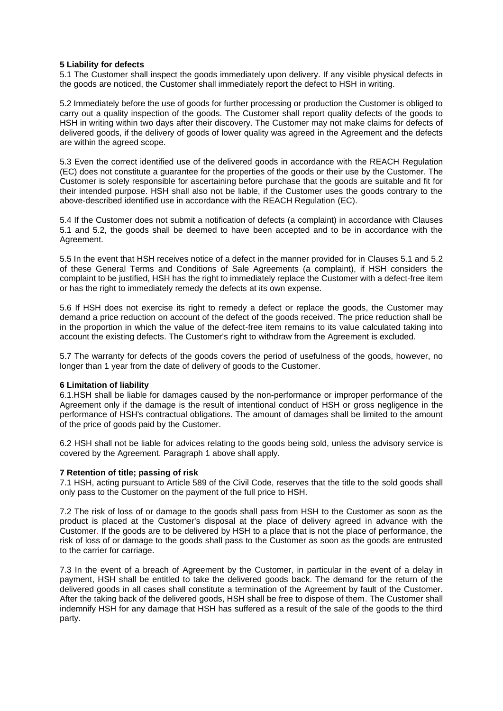## **5 Liability for defects**

5.1 The Customer shall inspect the goods immediately upon delivery. If any visible physical defects in the goods are noticed, the Customer shall immediately report the defect to HSH in writing.

5.2 Immediately before the use of goods for further processing or production the Customer is obliged to carry out a quality inspection of the goods. The Customer shall report quality defects of the goods to HSH in writing within two days after their discovery. The Customer may not make claims for defects of delivered goods, if the delivery of goods of lower quality was agreed in the Agreement and the defects are within the agreed scope.

5.3 Even the correct identified use of the delivered goods in accordance with the REACH Regulation (EC) does not constitute a guarantee for the properties of the goods or their use by the Customer. The Customer is solely responsible for ascertaining before purchase that the goods are suitable and fit for their intended purpose. HSH shall also not be liable, if the Customer uses the goods contrary to the above-described identified use in accordance with the REACH Regulation (EC).

5.4 If the Customer does not submit a notification of defects (a complaint) in accordance with Clauses 5.1 and 5.2, the goods shall be deemed to have been accepted and to be in accordance with the Agreement.

5.5 In the event that HSH receives notice of a defect in the manner provided for in Clauses 5.1 and 5.2 of these General Terms and Conditions of Sale Agreements (a complaint), if HSH considers the complaint to be justified, HSH has the right to immediately replace the Customer with a defect-free item or has the right to immediately remedy the defects at its own expense.

5.6 If HSH does not exercise its right to remedy a defect or replace the goods, the Customer may demand a price reduction on account of the defect of the goods received. The price reduction shall be in the proportion in which the value of the defect-free item remains to its value calculated taking into account the existing defects. The Customer's right to withdraw from the Agreement is excluded.

5.7 The warranty for defects of the goods covers the period of usefulness of the goods, however, no longer than 1 year from the date of delivery of goods to the Customer.

### **6 Limitation of liability**

6.1.HSH shall be liable for damages caused by the non-performance or improper performance of the Agreement only if the damage is the result of intentional conduct of HSH or gross negligence in the performance of HSH's contractual obligations. The amount of damages shall be limited to the amount of the price of goods paid by the Customer.

6.2 HSH shall not be liable for advices relating to the goods being sold, unless the advisory service is covered by the Agreement. Paragraph 1 above shall apply.

### **7 Retention of title; passing of risk**

7.1 HSH, acting pursuant to Article 589 of the Civil Code, reserves that the title to the sold goods shall only pass to the Customer on the payment of the full price to HSH.

7.2 The risk of loss of or damage to the goods shall pass from HSH to the Customer as soon as the product is placed at the Customer's disposal at the place of delivery agreed in advance with the Customer. If the goods are to be delivered by HSH to a place that is not the place of performance, the risk of loss of or damage to the goods shall pass to the Customer as soon as the goods are entrusted to the carrier for carriage.

7.3 In the event of a breach of Agreement by the Customer, in particular in the event of a delay in payment, HSH shall be entitled to take the delivered goods back. The demand for the return of the delivered goods in all cases shall constitute a termination of the Agreement by fault of the Customer. After the taking back of the delivered goods, HSH shall be free to dispose of them. The Customer shall indemnify HSH for any damage that HSH has suffered as a result of the sale of the goods to the third party.